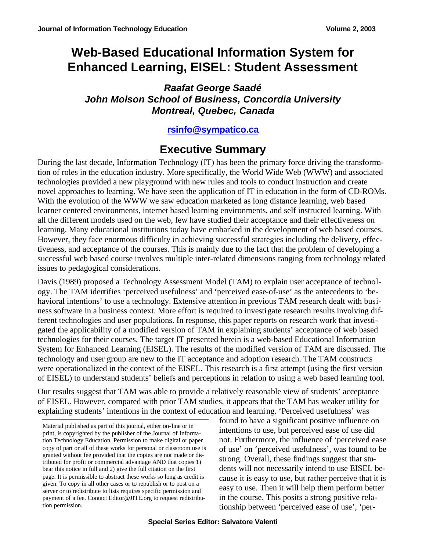# **Web-Based Educational Information System for Enhanced Learning, EISEL: Student Assessment**

*Raafat George Saadé John Molson School of Business, Concordia University Montreal, Quebec, Canada*

**rsinfo@sympatico.ca**

## **Executive Summary**

During the last decade, Information Technology (IT) has been the primary force driving the transformation of roles in the education industry. More specifically, the World Wide Web (WWW) and associated technologies provided a new playground with new rules and tools to conduct instruction and create novel approaches to learning. We have seen the application of IT in education in the form of CD-ROMs. With the evolution of the WWW we saw education marketed as long distance learning, web based learner centered environments, internet based learning environments, and self instructed learning. With all the different models used on the web, few have studied their acceptance and their effectiveness on learning. Many educational institutions today have embarked in the development of web based courses. However, they face enormous difficulty in achieving successful strategies including the delivery, effectiveness, and acceptance of the courses. This is mainly due to the fact that the problem of developing a successful web based course involves multiple inter-related dimensions ranging from technology related issues to pedagogical considerations.

Davis (1989) proposed a Technology Assessment Model (TAM) to explain user acceptance of technology. The TAM identifies 'perceived usefulness' and 'perceived ease-of-use' as the antecedents to 'behavioral intentions' to use a technology. Extensive attention in previous TAM research dealt with business software in a business context. More effort is required to investigate research results involving different technologies and user populations. In response, this paper reports on research work that investigated the applicability of a modified version of TAM in explaining students' acceptance of web based technologies for their courses. The target IT presented herein is a web-based Educational Information System for Enhanced Learning (EISEL). The results of the modified version of TAM are discussed. The technology and user group are new to the IT acceptance and adoption research. The TAM constructs were operationalized in the context of the EISEL. This research is a first attempt (using the first version of EISEL) to understand students' beliefs and perceptions in relation to using a web based learning tool.

Our results suggest that TAM was able to provide a relatively reasonable view of students' acceptance of EISEL. However, compared with prior TAM studies, it appears that the TAM has weaker utility for explaining students' intentions in the context of education and learning. 'Perceived usefulness' was

Material published as part of this journal, either on-line or in print, is copyrighted by the publisher of the Journal of Information Technology Education. Permission to make digital or paper copy of part or all of these works for personal or classroom use is granted without fee provided that the copies are not made or distributed for profit or commercial advantage AND that copies 1) bear this notice in full and 2) give the full citation on the first page. It is permissible to abstract these works so long as credit is given. To copy in all other cases or to republish or to post on a server or to redistribute to lists requires specific permission and payment of a fee. Contact Editor@JITE.org to request redistribution permission.

found to have a significant positive influence on intentions to use, but perceived ease of use did not. Furthermore, the influence of 'perceived ease of use' on 'perceived usefulness', was found to be strong. Overall, these findings suggest that students will not necessarily intend to use EISEL because it is easy to use, but rather perceive that it is easy to use. Then it will help them perform better in the course. This posits a strong positive relationship between 'perceived ease of use', 'per-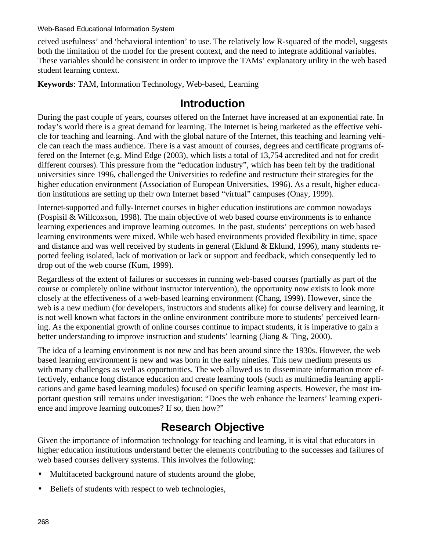ceived usefulness' and 'behavioral intention' to use. The relatively low R-squared of the model, suggests both the limitation of the model for the present context, and the need to integrate additional variables. These variables should be consistent in order to improve the TAMs' explanatory utility in the web based student learning context.

**Keywords**: TAM, Information Technology, Web-based, Learning

#### **Introduction**

During the past couple of years, courses offered on the Internet have increased at an exponential rate. In today's world there is a great demand for learning. The Internet is being marketed as the effective vehicle for teaching and learning. And with the global nature of the Internet, this teaching and learning vehicle can reach the mass audience. There is a vast amount of courses, degrees and certificate programs offered on the Internet (e.g. Mind Edge (2003), which lists a total of 13,754 accredited and not for credit different courses). This pressure from the "education industry", which has been felt by the traditional universities since 1996, challenged the Universities to redefine and restructure their strategies for the higher education environment (Association of European Universities, 1996). As a result, higher education institutions are setting up their own Internet based "virtual" campuses (Onay, 1999).

Internet-supported and fully-Internet courses in higher education institutions are common nowadays (Pospisil & Willcoxson, 1998). The main objective of web based course environments is to enhance learning experiences and improve learning outcomes. In the past, students' perceptions on web based learning environments were mixed. While web based environments provided flexibility in time, space and distance and was well received by students in general (Eklund & Eklund, 1996), many students reported feeling isolated, lack of motivation or lack or support and feedback, which consequently led to drop out of the web course (Kum, 1999).

Regardless of the extent of failures or successes in running web-based courses (partially as part of the course or completely online without instructor intervention), the opportunity now exists to look more closely at the effectiveness of a web-based learning environment (Chang, 1999). However, since the web is a new medium (for developers, instructors and students alike) for course delivery and learning, it is not well known what factors in the online environment contribute more to students' perceived learning. As the exponential growth of online courses continue to impact students, it is imperative to gain a better understanding to improve instruction and students' learning (Jiang & Ting, 2000).

The idea of a learning environment is not new and has been around since the 1930s. However, the web based learning environment is new and was born in the early nineties. This new medium presents us with many challenges as well as opportunities. The web allowed us to disseminate information more effectively, enhance long distance education and create learning tools (such as multimedia learning applications and game based learning modules) focused on specific learning aspects. However, the most important question still remains under investigation: "Does the web enhance the learners' learning experience and improve learning outcomes? If so, then how?"

# **Research Objective**

Given the importance of information technology for teaching and learning, it is vital that educators in higher education institutions understand better the elements contributing to the successes and failures of web based courses delivery systems. This involves the following:

- Multifaceted background nature of students around the globe,
- Beliefs of students with respect to web technologies,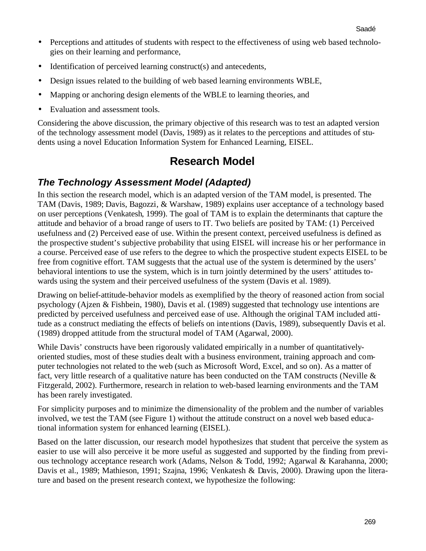- Perceptions and attitudes of students with respect to the effectiveness of using web based technologies on their learning and performance,
- Identification of perceived learning construct(s) and antecedents,
- Design issues related to the building of web based learning environments WBLE,
- Mapping or anchoring design elements of the WBLE to learning theories, and
- Evaluation and assessment tools.

Considering the above discussion, the primary objective of this research was to test an adapted version of the technology assessment model (Davis, 1989) as it relates to the perceptions and attitudes of students using a novel Education Information System for Enhanced Learning, EISEL.

## **Research Model**

#### *The Technology Assessment Model (Adapted)*

In this section the research model, which is an adapted version of the TAM model, is presented. The TAM (Davis, 1989; Davis, Bagozzi, & Warshaw, 1989) explains user acceptance of a technology based on user perceptions (Venkatesh, 1999). The goal of TAM is to explain the determinants that capture the attitude and behavior of a broad range of users to IT. Two beliefs are posited by TAM: (1) Perceived usefulness and (2) Perceived ease of use. Within the present context, perceived usefulness is defined as the prospective student's subjective probability that using EISEL will increase his or her performance in a course. Perceived ease of use refers to the degree to which the prospective student expects EISEL to be free from cognitive effort. TAM suggests that the actual use of the system is determined by the users' behavioral intentions to use the system, which is in turn jointly determined by the users' attitudes towards using the system and their perceived usefulness of the system (Davis et al. 1989).

Drawing on belief-attitude-behavior models as exemplified by the theory of reasoned action from social psychology (Ajzen & Fishbein, 1980), Davis et al. (1989) suggested that technology use intentions are predicted by perceived usefulness and perceived ease of use. Although the original TAM included attitude as a construct mediating the effects of beliefs on intentions (Davis, 1989), subsequently Davis et al. (1989) dropped attitude from the structural model of TAM (Agarwal, 2000).

While Davis' constructs have been rigorously validated empirically in a number of quantitativelyoriented studies, most of these studies dealt with a business environment, training approach and computer technologies not related to the web (such as Microsoft Word, Excel, and so on). As a matter of fact, very little research of a qualitative nature has been conducted on the TAM constructs (Neville & Fitzgerald, 2002). Furthermore, research in relation to web-based learning environments and the TAM has been rarely investigated.

For simplicity purposes and to minimize the dimensionality of the problem and the number of variables involved, we test the TAM (see Figure 1) without the attitude construct on a novel web based educational information system for enhanced learning (EISEL).

Based on the latter discussion, our research model hypothesizes that student that perceive the system as easier to use will also perceive it be more useful as suggested and supported by the finding from previous technology acceptance research work (Adams, Nelson & Todd, 1992; Agarwal & Karahanna, 2000; Davis et al., 1989; Mathieson, 1991; Szajna, 1996; Venkatesh & Davis, 2000). Drawing upon the literature and based on the present research context, we hypothesize the following: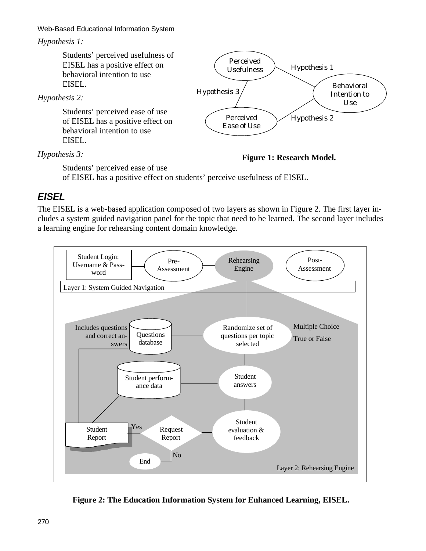#### *Hypothesis 1:*

Students' perceived usefulness of EISEL has a positive effect on behavioral intention to use EISEL.

*Hypothesis 2:*

Students' perceived ease of use of EISEL has a positive effect on behavioral intention to use EISEL.

*Hypothesis 3:*



**Figure 1: Research Model.**

Students' perceived ease of use

of EISEL has a positive effect on students' perceive usefulness of EISEL.

#### *EISEL*

The EISEL is a web-based application composed of two layers as shown in Figure 2. The first layer includes a system guided navigation panel for the topic that need to be learned. The second layer includes a learning engine for rehearsing content domain knowledge.



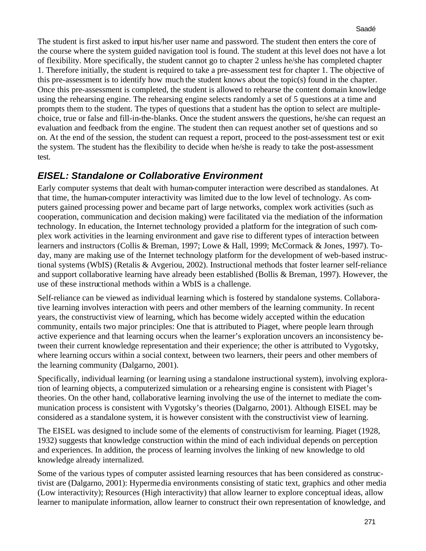The student is first asked to input his/her user name and password. The student then enters the core of the course where the system guided navigation tool is found. The student at this level does not have a lot of flexibility. More specifically, the student cannot go to chapter 2 unless he/she has completed chapter 1. Therefore initially, the student is required to take a pre-assessment test for chapter 1. The objective of this pre-assessment is to identify how much the student knows about the topic(s) found in the chapter. Once this pre-assessment is completed, the student is allowed to rehearse the content domain knowledge using the rehearsing engine. The rehearsing engine selects randomly a set of 5 questions at a time and prompts them to the student. The types of questions that a student has the option to select are multiplechoice, true or false and fill-in-the-blanks. Once the student answers the questions, he/she can request an evaluation and feedback from the engine. The student then can request another set of questions and so on. At the end of the session, the student can request a report, proceed to the post-assessment test or exit the system. The student has the flexibility to decide when he/she is ready to take the post-assessment test.

#### *EISEL: Standalone or Collaborative Environment*

Early computer systems that dealt with human-computer interaction were described as standalones. At that time, the human-computer interactivity was limited due to the low level of technology. As computers gained processing power and became part of large networks, complex work activities (such as cooperation, communication and decision making) were facilitated via the mediation of the information technology. In education, the Internet technology provided a platform for the integration of such complex work activities in the learning environment and gave rise to different types of interaction between learners and instructors (Collis & Breman, 1997; Lowe & Hall, 1999; McCormack & Jones, 1997). Today, many are making use of the Internet technology platform for the development of web-based instructional systems (WbIS) (Retalis & Avgeriou, 2002). Instructional methods that foster learner self-reliance and support collaborative learning have already been established (Bollis & Breman, 1997). However, the use of these instructional methods within a WbIS is a challenge.

Self-reliance can be viewed as individual learning which is fostered by standalone systems. Collaborative learning involves interaction with peers and other members of the learning community. In recent years, the constructivist view of learning, which has become widely accepted within the education community, entails two major principles: One that is attributed to Piaget, where people learn through active experience and that learning occurs when the learner's exploration uncovers an inconsistency between their current knowledge representation and their experience; the other is attributed to Vygotsky, where learning occurs within a social context, between two learners, their peers and other members of the learning community (Dalgarno, 2001).

Specifically, individual learning (or learning using a standalone instructional system), involving exploration of learning objects, a computerized simulation or a rehearsing engine is consistent with Piaget's theories. On the other hand, collaborative learning involving the use of the internet to mediate the communication process is consistent with Vygotsky's theories (Dalgarno, 2001). Although EISEL may be considered as a standalone system, it is however consistent with the constructivist view of learning.

The EISEL was designed to include some of the elements of constructivism for learning. Piaget (1928, 1932) suggests that knowledge construction within the mind of each individual depends on perception and experiences. In addition, the process of learning involves the linking of new knowledge to old knowledge already internalized.

Some of the various types of computer assisted learning resources that has been considered as constructivist are (Dalgarno, 2001): Hypermedia environments consisting of static text, graphics and other media (Low interactivity); Resources (High interactivity) that allow learner to explore conceptual ideas, allow learner to manipulate information, allow learner to construct their own representation of knowledge, and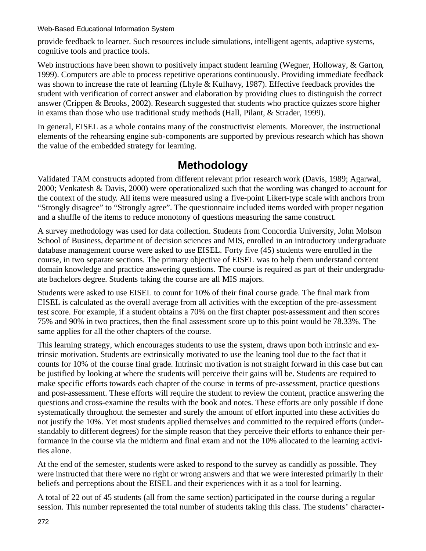provide feedback to learner. Such resources include simulations, intelligent agents, adaptive systems, cognitive tools and practice tools.

Web instructions have been shown to positively impact student learning (Wegner, Holloway, & Garton, 1999). Computers are able to process repetitive operations continuously. Providing immediate feedback was shown to increase the rate of learning (Lhyle & Kulhavy, 1987). Effective feedback provides the student with verification of correct answer and elaboration by providing clues to distinguish the correct answer (Crippen & Brooks, 2002). Research suggested that students who practice quizzes score higher in exams than those who use traditional study methods (Hall, Pilant, & Strader, 1999).

In general, EISEL as a whole contains many of the constructivist elements. Moreover, the instructional elements of the rehearsing engine sub-components are supported by previous research which has shown the value of the embedded strategy for learning.

### **Methodology**

Validated TAM constructs adopted from different relevant prior research work (Davis, 1989; Agarwal, 2000; Venkatesh & Davis, 2000) were operationalized such that the wording was changed to account for the context of the study. All items were measured using a five-point Likert-type scale with anchors from "Strongly disagree" to "Strongly agree". The questionnaire included items worded with proper negation and a shuffle of the items to reduce monotony of questions measuring the same construct.

A survey methodology was used for data collection. Students from Concordia University, John Molson School of Business, departme nt of decision sciences and MIS, enrolled in an introductory undergraduate database management course were asked to use EISEL. Forty five (45) students were enrolled in the course, in two separate sections. The primary objective of EISEL was to help them understand content domain knowledge and practice answering questions. The course is required as part of their undergraduate bachelors degree. Students taking the course are all MIS majors.

Students were asked to use EISEL to count for 10% of their final course grade. The final mark from EISEL is calculated as the overall average from all activities with the exception of the pre-assessment test score. For example, if a student obtains a 70% on the first chapter post-assessment and then scores 75% and 90% in two practices, then the final assessment score up to this point would be 78.33%. The same applies for all the other chapters of the course.

This learning strategy, which encourages students to use the system, draws upon both intrinsic and extrinsic motivation. Students are extrinsically motivated to use the leaning tool due to the fact that it counts for 10% of the course final grade. Intrinsic motivation is not straight forward in this case but can be justified by looking at where the students will perceive their gains will be. Students are required to make specific efforts towards each chapter of the course in terms of pre-assessment, practice questions and post-assessment. These efforts will require the student to review the content, practice answering the questions and cross-examine the results with the book and notes. These efforts are only possible if done systematically throughout the semester and surely the amount of effort inputted into these activities do not justify the 10%. Yet most students applied themselves and committed to the required efforts (understandably to different degrees) for the simple reason that they perceive their efforts to enhance their performance in the course via the midterm and final exam and not the 10% allocated to the learning activities alone.

At the end of the semester, students were asked to respond to the survey as candidly as possible. They were instructed that there were no right or wrong answers and that we were interested primarily in their beliefs and perceptions about the EISEL and their experiences with it as a tool for learning.

A total of 22 out of 45 students (all from the same section) participated in the course during a regular session. This number represented the total number of students taking this class. The students' character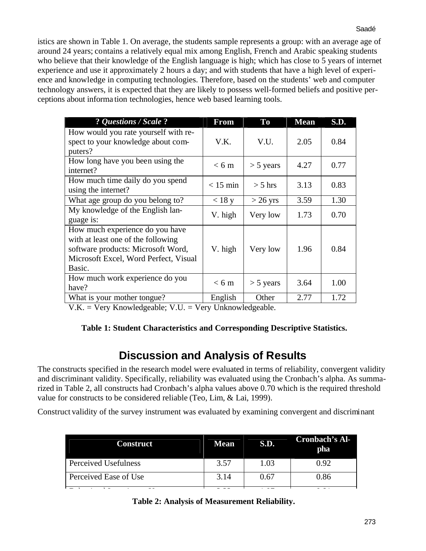istics are shown in Table 1. On average, the students sample represents a group: with an average age of around 24 years; contains a relatively equal mix among English, French and Arabic speaking students who believe that their knowledge of the English language is high; which has close to 5 years of internet experience and use it approximately 2 hours a day; and with students that have a high level of experience and knowledge in computing technologies. Therefore, based on the students' web and computer technology answers, it is expected that they are likely to possess well-formed beliefs and positive perceptions about informa tion technologies, hence web based learning tools.

| ? Questions / Scale ?                                                                                                                                          | From            | <b>To</b>   | <b>Mean</b> | <b>S.D.</b> |
|----------------------------------------------------------------------------------------------------------------------------------------------------------------|-----------------|-------------|-------------|-------------|
| How would you rate yourself with re-<br>spect to your knowledge about com-<br>puters?                                                                          | V.K.            | V.U.        | 2.05        | 0.84        |
| How long have you been using the<br>internet?                                                                                                                  | $< 6 \text{ m}$ | $>$ 5 years | 4.27        | 0.77        |
| How much time daily do you spend<br>using the internet?                                                                                                        | $< 15$ min      | $>$ 5 hrs   | 3.13        | 0.83        |
| What age group do you belong to?                                                                                                                               | $<$ 18 y        | $>$ 26 yrs  | 3.59        | 1.30        |
| My knowledge of the English lan-<br>guage is:                                                                                                                  | V. high         | Very low    | 1.73        | 0.70        |
| How much experience do you have<br>with at least one of the following<br>software products: Microsoft Word,<br>Microsoft Excel, Word Perfect, Visual<br>Basic. | V. high         | Very low    | 1.96        | 0.84        |
| How much work experience do you<br>have?                                                                                                                       | $< 6 \text{ m}$ | $> 5$ years | 3.64        | 1.00        |
| What is your mother tongue?                                                                                                                                    | English         | Other       | 2.77        | 1.72        |

V.K. = Very Knowledgeable; V.U. = Very Unknowledgeable.

#### **Table 1: Student Characteristics and Corresponding Descriptive Statistics.**

### **Discussion and Analysis of Results**

The constructs specified in the research model were evaluated in terms of reliability, convergent validity and discriminant validity. Specifically, reliability was evaluated using the Cronbach's alpha. As summarized in Table 2, all constructs had Cronbach's alpha values above 0.70 which is the required threshold value for constructs to be considered reliable (Teo, Lim, & Lai, 1999).

Construct validity of the survey instrument was evaluated by examining convergent and discriminant

| <b>Construct</b>            | <b>Mean</b> | S.D. | Cronbach's Al-<br>pha |
|-----------------------------|-------------|------|-----------------------|
| <b>Perceived Usefulness</b> | 3.57        | 1.03 | 0.92                  |
| Perceived Ease of Use       | 3.14        | 0.67 | 0.86                  |
|                             |             |      |                       |

|  |  | Table 2: Analysis of Measurement Reliability. |
|--|--|-----------------------------------------------|
|  |  |                                               |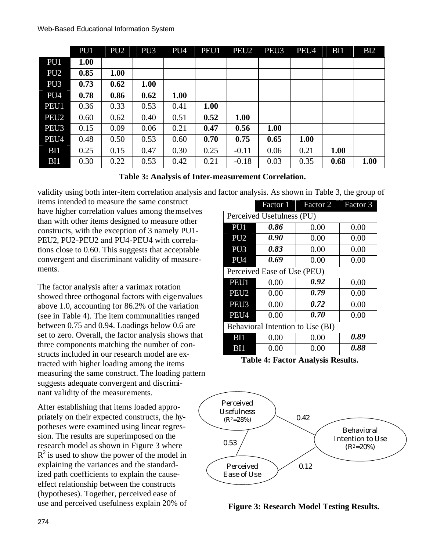|                  | PU1  | PU <sub>2</sub> | PU <sub>3</sub> | PU <sub>4</sub> | PEU1 | PEU <sub>2</sub> | PEU <sub>3</sub> | PEU4 | BI1  | B <sub>12</sub> |
|------------------|------|-----------------|-----------------|-----------------|------|------------------|------------------|------|------|-----------------|
| PU1              | 1.00 |                 |                 |                 |      |                  |                  |      |      |                 |
| PU <sub>2</sub>  | 0.85 | 1.00            |                 |                 |      |                  |                  |      |      |                 |
| PU <sub>3</sub>  | 0.73 | 0.62            | 1.00            |                 |      |                  |                  |      |      |                 |
| PU <sub>4</sub>  | 0.78 | 0.86            | 0.62            | 1.00            |      |                  |                  |      |      |                 |
| PEU1             | 0.36 | 0.33            | 0.53            | 0.41            | 1.00 |                  |                  |      |      |                 |
| PEU <sub>2</sub> | 0.60 | 0.62            | 0.40            | 0.51            | 0.52 | 1.00             |                  |      |      |                 |
| PEU <sub>3</sub> | 0.15 | 0.09            | 0.06            | 0.21            | 0.47 | 0.56             | <b>1.00</b>      |      |      |                 |
| PEU4             | 0.48 | 0.50            | 0.53            | 0.60            | 0.70 | 0.75             | 0.65             | 1.00 |      |                 |
| B <sub>11</sub>  | 0.25 | 0.15            | 0.47            | 0.30            | 0.25 | $-0.11$          | 0.06             | 0.21 | 1.00 |                 |
| BI1              | 0.30 | 0.22            | 0.53            | 0.42            | 0.21 | $-0.18$          | 0.03             | 0.35 | 0.68 | 1.00            |

validity using both inter-item correlation analysis and factor analysis. As shown in Table 3, the group of

items intended to measure the same construct have higher correlation values among themselves than with other items designed to measure other constructs, with the exception of 3 namely PU1- PEU2, PU2-PEU2 and PU4-PEU4 with correlations close to 0.60. This suggests that acceptable convergent and discriminant validity of measurements.

The factor analysis after a varimax rotation showed three orthogonal factors with eigenvalues above 1.0, accounting for 86.2% of the variation (see in Table 4). The item communalities ranged between 0.75 and 0.94. Loadings below 0.6 are set to zero. Overall, the factor analysis shows that three components matching the number of constructs included in our research model are extracted with higher loading among the items measuring the same construct. The loading pattern suggests adequate convergent and discriminant validity of the measurements.

After establishing that items loaded appropriately on their expected constructs, the hypotheses were examined using linear regression. The results are superimposed on the research model as shown in Figure 3 where  $R^2$  is used to show the power of the model in explaining the variances and the standardized path coefficients to explain the causeeffect relationship between the constructs (hypotheses). Together, perceived ease of use and perceived usefulness explain 20% of

|                                  | Factor 1 | Factor 2 | Factor 3 |  |  |
|----------------------------------|----------|----------|----------|--|--|
| Perceived Usefulness (PU)        |          |          |          |  |  |
| PU <sub>1</sub>                  | 0.86     | 0.00     | 0.00     |  |  |
| PU <sub>2</sub>                  | 0.90     | 0.00     | 0.00     |  |  |
| PU <sub>3</sub>                  | 0.83     | 0.00     | 0.00     |  |  |
| PU <sub>4</sub>                  | 0.69     | 0.00     | 0.00     |  |  |
| Perceived Ease of Use (PEU)      |          |          |          |  |  |
| PEU1                             | 0.00     | 0.92     | 0.00     |  |  |
| PEU <sub>2</sub>                 | 0.00     | 0.79     | 0.00     |  |  |
| PEU <sub>3</sub>                 | 0.00     | 0.72     | 0.00     |  |  |
| PEU4                             | 0.00     | 0.70     | 0.00     |  |  |
| Behavioral Intention to Use (BI) |          |          |          |  |  |
| BI1                              | 0.00     | 0.00     | 0.89     |  |  |
| BИ                               | 0.00     | 0.00     | 0.88     |  |  |

**Table 4: Factor Analysis Results.**



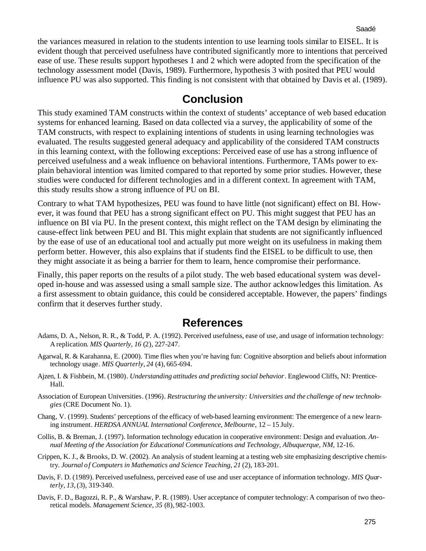the variances measured in relation to the students intention to use learning tools similar to EISEL. It is evident though that perceived usefulness have contributed significantly more to intentions that perceived ease of use. These results support hypotheses 1 and 2 which were adopted from the specification of the technology assessment model (Davis, 1989). Furthermore, hypothesis 3 with posited that PEU would influence PU was also supported. This finding is not consistent with that obtained by Davis et al. (1989).

#### **Conclusion**

This study examined TAM constructs within the context of students' acceptance of web based education systems for enhanced learning. Based on data collected via a survey, the applicability of some of the TAM constructs, with respect to explaining intentions of students in using learning technologies was evaluated. The results suggested general adequacy and applicability of the considered TAM constructs in this learning context, with the following exceptions: Perceived ease of use has a strong influence of perceived usefulness and a weak influence on behavioral intentions. Furthermore, TAMs power to explain behavioral intention was limited compared to that reported by some prior studies. However, these studies were conducted for different technologies and in a different context. In agreement with TAM, this study results show a strong influence of PU on BI.

Contrary to what TAM hypothesizes, PEU was found to have little (not significant) effect on BI. However, it was found that PEU has a strong significant effect on PU. This might suggest that PEU has an influence on BI via PU. In the present context, this might reflect on the TAM design by eliminating the cause-effect link between PEU and BI. This might explain that students are not significantly influenced by the ease of use of an educational tool and actually put more weight on its usefulness in making them perform better. However, this also explains that if students find the EISEL to be difficult to use, then they might associate it as being a barrier for them to learn, hence compromise their performance.

Finally, this paper reports on the results of a pilot study. The web based educational system was developed in-house and was assessed using a small sample size. The author acknowledges this limitation. As a first assessment to obtain guidance, this could be considered acceptable. However, the papers' findings confirm that it deserves further study.

#### **References**

- Adams, D. A., Nelson, R. R., & Todd, P. A. (1992). Perceived usefulness, ease of use, and usage of information technology: A replication. *MIS Quarterly, 16* (2), 227-247.
- Agarwal, R. & Karahanna, E. (2000). Time flies when you're having fun: Cognitive absorption and beliefs about information technology usage. *MIS Quarterly, 24* (4), 665-694.
- Ajzen, I. & Fishbein, M. (1980). *Understanding attitudes and predicting social behavior*. Englewood Cliffs, NJ: Prentice-Hall.
- Association of European Universities. (1996). *Restructuring the university: Universities and the challenge of new technologies* (CRE Document No. 1).
- Chang, V. (1999). Students' perceptions of the efficacy of web-based learning environment: The emergence of a new learning instrument. *HERDSA ANNUAL International Conference, Melbourne*, 12 – 15 July.
- Collis, B. & Breman, J. (1997). Information technology education in cooperative environment: Design and evaluation. *Annual Meeting of the Association for Educational Communications and Technology, Albuquerque, NM*, 12-16.
- Crippen, K. J., & Brooks, D. W. (2002). An analysis of student learning at a testing web site emphasizing descriptive chemistry. *Journal of Computers in Mathematics and Science Teaching, 21* (2), 183-201.
- Davis, F. D. (1989). Perceived usefulness, perceived ease of use and user acceptance of information technology. *MIS Quarterly, 13*, (3), 319-340.
- Davis, F. D., Bagozzi, R. P., & Warshaw, P. R. (1989). User acceptance of computer technology: A comparison of two theoretical models. *Management Science, 35* (8), 982-1003.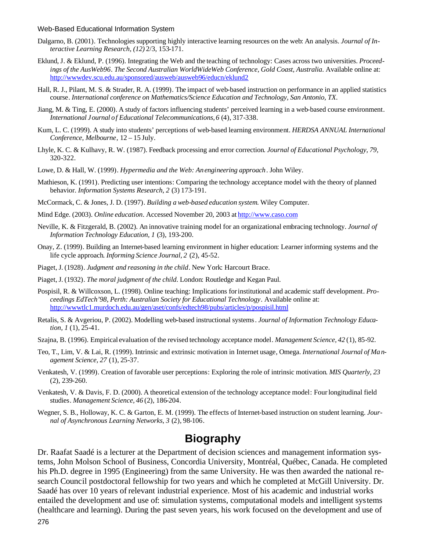- Dalgarno, B. (2001). Technologies supporting highly interactive learning resources on the web: An analysis. *Journal of Interactive Learning Research, (12)* 2/3, 153-171.
- Eklund, J. & Eklund, P. (1996). Integrating the Web and the teaching of technology: Cases across two universities. *Proceedings of the AusWeb96. The Second Australian WorldWideWeb Conference, Gold Coast, Australia*. Available online at: http://wwwdev.scu.edu.au/sponsored/ausweb/ausweb96/educn/eklund2
- Hall, R. J., Pilant, M. S. & Strader, R. A. (1999). The impact of web-based instruction on performance in an applied statistics course. *International conference on Mathematics/Science Education and Technology, San Antonio, TX*.
- Jiang, M. & Ting, E. (2000). A study of factors influencing students' perceived learning in a web-based course environment. *International Journal of Educational Telecommunications,6* (4), 317-338.
- Kum, L. C. (1999). A study into students' perceptions of web-based learning environment. *HERDSA ANNUAL International Conference, Melbourne*, 12 – 15 July.
- Lhyle, K. C. & Kulhavy, R. W. (1987). Feedback processing and error correction. *Journal of Educational Psychology, 79,* 320-322.
- Lowe, D. & Hall, W. (1999). *Hypermedia and the Web: An engineering approach*. John Wiley.
- Mathieson, K. (1991). Predicting user intentions: Comparing the technology acceptance model with the theory of planned behavior. *Information Systems Research, 2* (3) 173-191.
- McCormack, C. & Jones, J. D. (1997). *Building a web-based education system*. Wiley Computer.
- Mind Edge. (2003). *Online education*. Accessed November 20, 2003 at http://www.caso.com
- Neville, K. & Fitzgerald, B. (2002). An innovative training model for an organizational embracing technology. *Journal of Information Technology Education, 1* (3), 193-200.
- Onay, Z. (1999). Building an Internet-based learning environment in higher education: Learner informing systems and the life cycle approach. *Informing Science Journal, 2* (2), 45-52.
- Piaget, J. (1928). *Judgment and reasoning in the child*. New York: Harcourt Brace.
- Piaget, J. (1932). *The moral judgment of the child*. London: Routledge and Kegan Paul.
- Pospisil, R. & Willcoxson, L. (1998). Online teaching: Implications for institutional and academic staff development. *Proceedings EdTech'98, Perth: Australian Society for Educational Technology*. Available online at: http://wwwtlc1.murdoch.edu.au/gen/aset/confs/edtech98/pubs/articles/p/pospisil.html
- Retalis, S. & Avgeriou, P. (2002). Modelling web-based instructional systems. *Journal of Information Technology Education, 1* (1), 25-41.
- Szajna, B. (1996). Empirical evaluation of the revised technology acceptance model. *Management Science, 42* (1), 85-92.
- Teo, T., Lim, V. & Lai, R. (1999). Intrinsic and extrinsic motivation in Internet usage, Omega. *International Journal of Management Science, 27* (1), 25-37.
- Venkatesh, V. (1999). Creation of favorable user perceptions: Exploring the role of intrinsic motivation. *MIS Quarterly, 23* (2), 239-260.
- Venkatesh, V. & Davis, F. D. (2000). A theoretical extension of the technology acceptance model: Four longitudinal field studies. *Management Science, 46* (2), 186-204.
- Wegner, S. B., Holloway, K. C. & Garton, E. M. (1999). The effects of Internet-based instruction on student learning. *Journal of Asynchronous Learning Networks, 3* (2), 98-106.

#### **Biography**

Dr. Raafat Saadé is a lecturer at the Department of decision sciences and management information systems, John Molson School of Business, Concordia University, Montréal, Québec, Canada. He completed his Ph.D. degree in 1995 (Engineering) from the same University. He was then awarded the national research Council postdoctoral fellowship for two years and which he completed at McGill University. Dr. Saadé has over 10 years of relevant industrial experience. Most of his academic and industrial works entailed the development and use of: simulation systems, computational models and intelligent systems (healthcare and learning). During the past seven years, his work focused on the development and use of